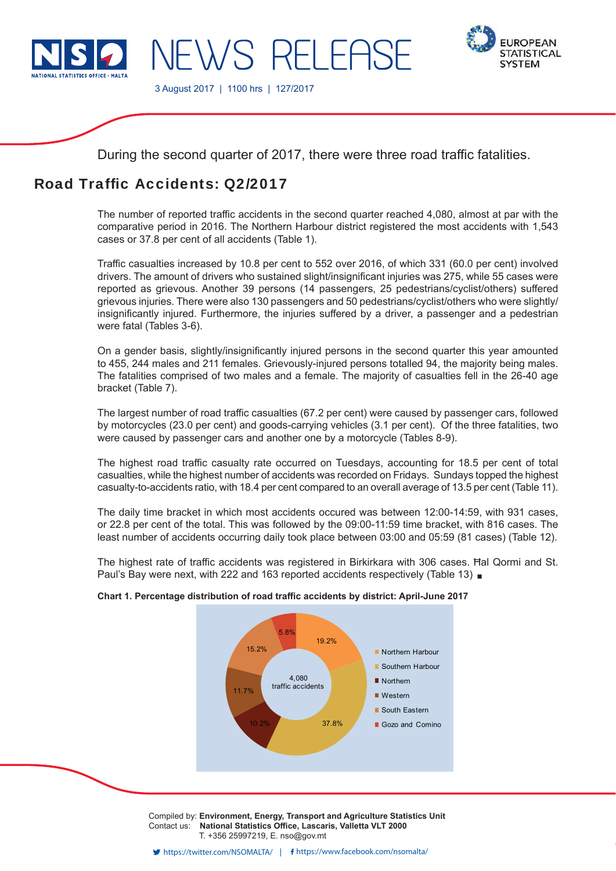

**IEWS RELEAS** 



3 August 2017 | 1100 hrs | 127/2017

During the second quarter of 2017, there were three road traffic fatalities.

# Road Traffic Accidents: Q2/2017

The number of reported traffic accidents in the second quarter reached 4,080, almost at par with the comparative period in 2016. The Northern Harbour district registered the most accidents with 1,543 cases or 37.8 per cent of all accidents (Table 1).

Traffic casualties increased by 10.8 per cent to 552 over 2016, of which 331 (60.0 per cent) involved drivers. The amount of drivers who sustained slight/insignificant injuries was 275, while 55 cases were reported as grievous. Another 39 persons (14 passengers, 25 pedestrians/cyclist/others) suffered grievous injuries. There were also 130 passengers and 50 pedestrians/cyclist/others who were slightly/ insignificantly injured. Furthermore, the injuries suffered by a driver, a passenger and a pedestrian were fatal (Tables 3-6).

On a gender basis, slightly/insignificantly injured persons in the second quarter this year amounted to 455, 244 males and 211 females. Grievously-injured persons totalled 94, the majority being males. The fatalities comprised of two males and a female. The majority of casualties fell in the 26-40 age bracket (Table 7).

The largest number of road traffic casualties (67.2 per cent) were caused by passenger cars, followed by motorcycles (23.0 per cent) and goods-carrying vehicles (3.1 per cent). Of the three fatalities, two were caused by passenger cars and another one by a motorcycle (Tables 8-9).

The highest road traffic casualty rate occurred on Tuesdays, accounting for 18.5 per cent of total casualties, while the highest number of accidents was recorded on Fridays. Sundays topped the highest casualty-to-accidents ratio, with 18.4 per cent compared to an overall average of 13.5 per cent (Table 11).

The daily time bracket in which most accidents occured was between 12:00-14:59, with 931 cases, or 22.8 per cent of the total. This was followed by the 09:00-11:59 time bracket, with 816 cases. The least number of accidents occurring daily took place between 03:00 and 05:59 (81 cases) (Table 12).

The highest rate of traffic accidents was registered in Birkirkara with 306 cases. Hal Qormi and St. Paul's Bay were next, with 222 and 163 reported accidents respectively (Table 13)

# 19.2% 10.2% 37.8% 11.7% 15.2% 5.8% **Northern Harbour** ■ Southern Harbour Northern Western South Eastern Gozo and Comino 4,080 traffic accidents

#### **Chart 1. Percentage distribution of road traffic accidents by district: April-June 2017**

Compiled by: **Environment, Energy, Transport and Agriculture Statistics Unit** Contact us: National Statistics Office, Lascaris, Valletta VLT 2000 T. +356 25997219, E. nso@gov.mt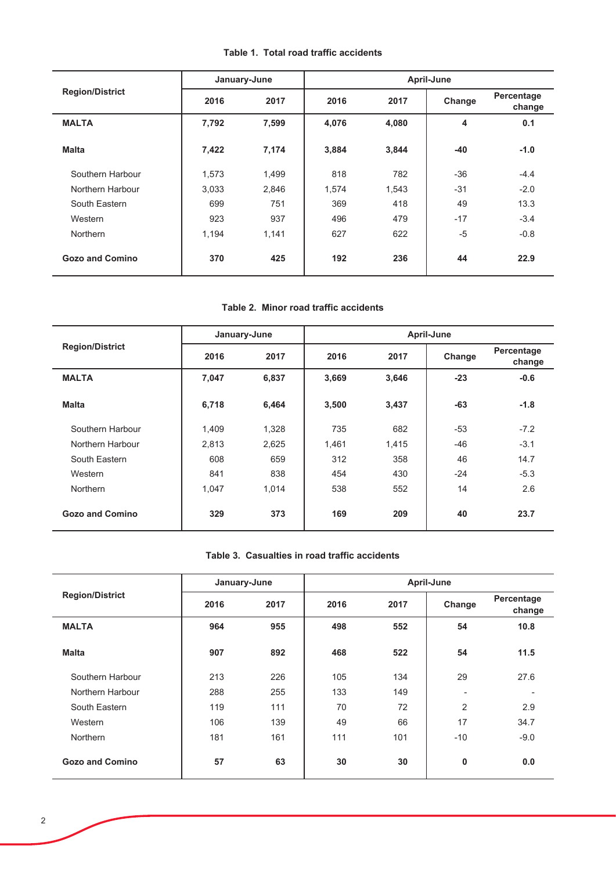| Table 1. Total road traffic accidents |  |  |
|---------------------------------------|--|--|
|---------------------------------------|--|--|

|                        |              | January-June | April-June |       |        |                      |  |
|------------------------|--------------|--------------|------------|-------|--------|----------------------|--|
| <b>Region/District</b> | 2016<br>2017 |              | 2016       | 2017  | Change | Percentage<br>change |  |
| <b>MALTA</b>           | 7,792        | 7,599        | 4,076      | 4,080 | 4      | 0.1                  |  |
| <b>Malta</b>           | 7,422        | 7,174        | 3,884      | 3,844 | -40    | $-1.0$               |  |
| Southern Harbour       | 1,573        | 1,499        | 818        | 782   | $-36$  | $-4.4$               |  |
| Northern Harbour       | 3,033        | 2,846        | 1,574      | 1,543 | $-31$  | $-2.0$               |  |
| South Eastern          | 699          | 751          | 369        | 418   | 49     | 13.3                 |  |
| Western                | 923          | 937          | 496        | 479   | $-17$  | $-3.4$               |  |
| <b>Northern</b>        | 1,194        | 1,141        | 627        | 622   | $-5$   | $-0.8$               |  |
| <b>Gozo and Comino</b> | 370          | 425          | 192        | 236   | 44     | 22.9                 |  |

#### Table 2. Minor road traffic accidents

|                        |       | January-June | April-June |       |        |                      |  |  |
|------------------------|-------|--------------|------------|-------|--------|----------------------|--|--|
| <b>Region/District</b> | 2016  | 2017         | 2016       | 2017  | Change | Percentage<br>change |  |  |
| <b>MALTA</b>           | 7,047 | 6,837        | 3,669      | 3,646 | $-23$  | $-0.6$               |  |  |
| <b>Malta</b>           | 6,718 | 6,464        | 3,500      | 3,437 | $-63$  | $-1.8$               |  |  |
| Southern Harbour       | 1,409 | 1,328        | 735        | 682   | $-53$  | $-7.2$               |  |  |
| Northern Harbour       | 2,813 | 2,625        | 1,461      | 1,415 | $-46$  | $-3.1$               |  |  |
| South Eastern          | 608   | 659          | 312        | 358   | 46     | 14.7                 |  |  |
| Western                | 841   | 838          | 454        | 430   | $-24$  | $-5.3$               |  |  |
| <b>Northern</b>        | 1,047 | 1,014        | 538        | 552   | 14     | 2.6                  |  |  |
| <b>Gozo and Comino</b> | 329   | 373          | 169        | 209   | 40     | 23.7                 |  |  |

### Table 3. Casualties in road traffic accidents

|                        | January-June |      | April-June |      |                          |                      |  |  |
|------------------------|--------------|------|------------|------|--------------------------|----------------------|--|--|
| <b>Region/District</b> | 2016         | 2017 | 2016       | 2017 | Change                   | Percentage<br>change |  |  |
| <b>MALTA</b>           | 964          | 955  | 498        | 552  | 54                       | 10.8                 |  |  |
| <b>Malta</b>           | 907          | 892  | 468        | 522  | 54                       | 11.5                 |  |  |
| Southern Harbour       | 213          | 226  | 105        | 134  | 29                       | 27.6                 |  |  |
| Northern Harbour       | 288          | 255  | 133        | 149  | $\overline{\phantom{0}}$ |                      |  |  |
| South Eastern          | 119          | 111  | 70         | 72   | $\overline{2}$           | 2.9                  |  |  |
| Western                | 106          | 139  | 49         | 66   | 17                       | 34.7                 |  |  |
| <b>Northern</b>        | 181          | 161  | 111        | 101  | $-10$                    | $-9.0$               |  |  |
| <b>Gozo and Comino</b> | 57           | 63   | 30         | 30   | 0                        | 0.0                  |  |  |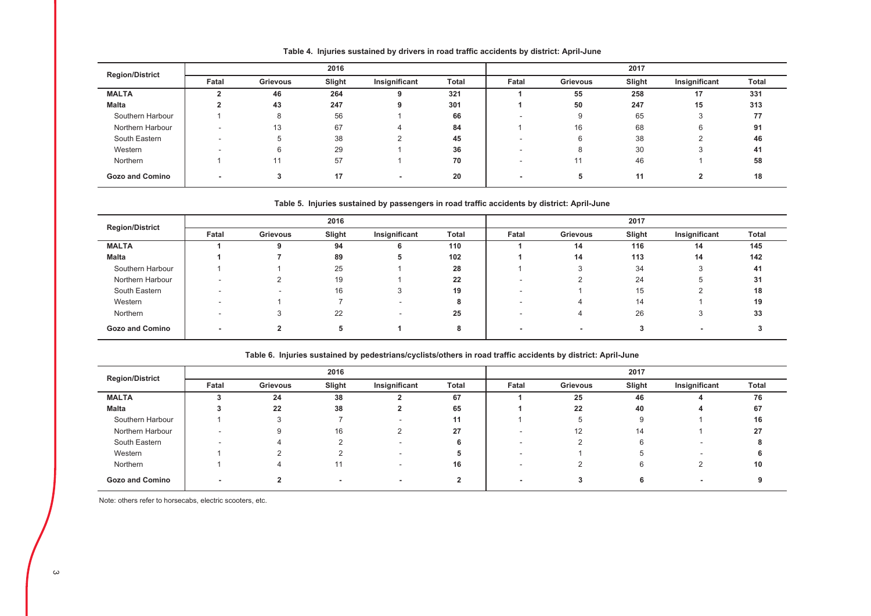| <b>Region/District</b> |       | 2016            |        |               |       |       | 2017            |        |               |       |  |
|------------------------|-------|-----------------|--------|---------------|-------|-------|-----------------|--------|---------------|-------|--|
|                        | Fatal | <b>Grievous</b> | Slight | Insignificant | Total | Fatal | <b>Grievous</b> | Slight | Insignificant | Total |  |
| <b>MALTA</b>           |       | 46              | 264    | 9             | 321   |       | 55              | 258    | 17            | 331   |  |
| Malta                  |       | 43              | 247    | 9             | 301   |       | 50              | 247    | 15            | 313   |  |
| Southern Harbour       |       |                 | 56     |               | 66    |       | 9               | 65     |               | 77    |  |
| Northern Harbour       |       | 13              | 67     |               | 84    |       | 16              | 68     |               | 91    |  |
| South Eastern          |       |                 | 38     |               | 45    |       | 6               | 38     |               | 46    |  |
| Western                |       |                 | 29     |               | 36    |       | 8               | 30     |               | 41    |  |
| Northern               |       |                 | 57     |               | 70    |       |                 | 46     |               | 58    |  |
| <b>Gozo and Comino</b> |       |                 | 17     | $\sim$        | 20    |       | 5               | 11     |               | 18    |  |

Table 4. Injuries sustained by drivers in road traffic accidents by district: April-June

#### Table 5. Injuries sustained by passengers in road traffic accidents by district: April-June

| <b>Region/District</b> |       | 2016     |        |               |       |       | 2017                     |        |                          |              |  |
|------------------------|-------|----------|--------|---------------|-------|-------|--------------------------|--------|--------------------------|--------------|--|
|                        | Fatal | Grievous | Slight | Insignificant | Total | Fatal | Grievous                 | Slight | Insignificant            | <b>Total</b> |  |
| <b>MALTA</b>           |       |          | 94     | 6             | 110   |       | 14                       | 116    | 14                       | 145          |  |
| <b>Malta</b>           |       |          | 89     | 5             | 102   |       | 14                       | 113    | 14                       | 142          |  |
| Southern Harbour       |       |          | 25     |               | 28    |       | $\sqrt{2}$<br>3          | 34     |                          | 41           |  |
| Northern Harbour       |       |          | 19     |               | 22    |       |                          | 24     |                          | 31           |  |
| South Eastern          |       | -        | 16     |               | 19    |       |                          | 15     |                          | 18           |  |
| Western                | ۰     |          |        |               |       |       | 4                        | 14     |                          | 19           |  |
| Northern               |       | -1       | 22     |               | 25    |       | 4                        | 26     | 3                        | 33           |  |
| <b>Gozo and Comino</b> |       |          | 5      |               | 8     |       | $\overline{\phantom{0}}$ |        | $\overline{\phantom{a}}$ |              |  |

|                        |       | 2016     |        |               |       |       | 2017            |        |               |       |  |
|------------------------|-------|----------|--------|---------------|-------|-------|-----------------|--------|---------------|-------|--|
| <b>Region/District</b> | Fatal | Grievous | Slight | Insignificant | Total | Fatal | <b>Grievous</b> | Slight | Insignificant | Total |  |
| <b>MALTA</b>           |       | 24       | 38     |               | 67    |       | 25              | 46     |               | 76    |  |
| <b>Malta</b>           |       | 22       | 38     |               | 65    |       | 22              | 40     |               | 67    |  |
| Southern Harbour       |       | $\sim$   |        |               | 11    |       | b               | g      |               | 16    |  |
| Northern Harbour       |       | 9        | 16     |               | 27    |       | 12              | 14     |               | 27    |  |
| South Eastern          |       |          |        |               |       |       |                 |        |               |       |  |
| Western                |       |          |        |               |       |       |                 |        |               |       |  |
| Northern               |       |          | 11     |               | 16    |       |                 |        |               | 10    |  |
| <b>Gozo and Comino</b> |       |          |        |               |       |       |                 |        |               |       |  |

Table 6. Injuries sustained by pedestrians/cyclists/others in road traffic accidents by district: April-June

Note: others refer to horsecabs, electric scooters, etc.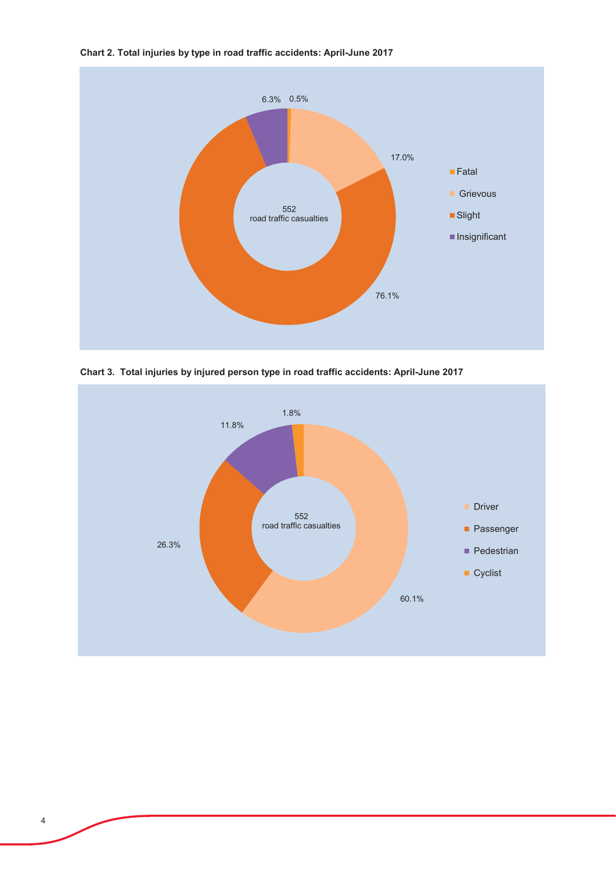

Chart 2. Total injuries by type in road traffic accidents: April-June 2017



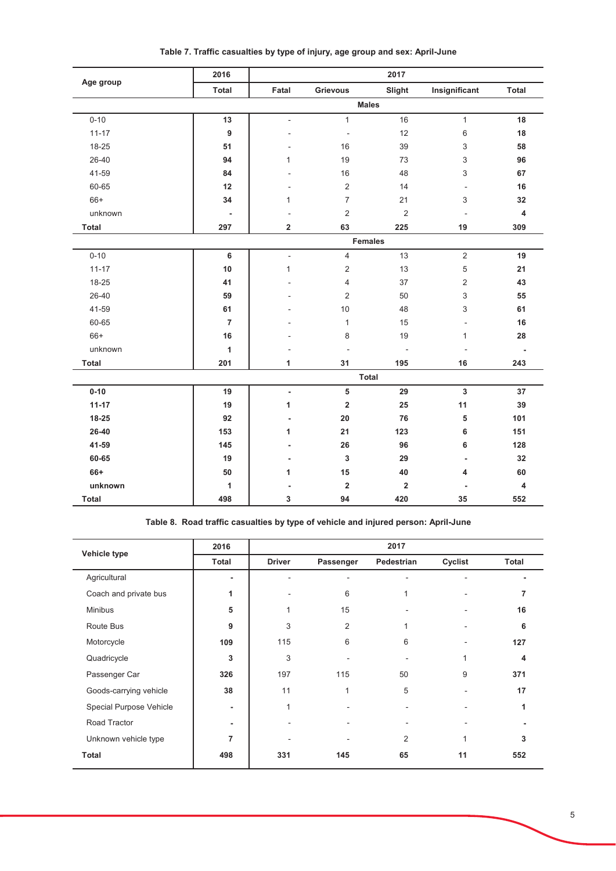| Age group    | 2016                     |                         |                          | 2017           |                         |                          |
|--------------|--------------------------|-------------------------|--------------------------|----------------|-------------------------|--------------------------|
|              | <b>Total</b>             | Fatal                   | Grievous                 | Slight         | Insignificant           | Total                    |
|              |                          |                         |                          | <b>Males</b>   |                         |                          |
| $0 - 10$     | 13                       | $\blacksquare$          | $\mathbf{1}$             | 16             | $\mathbf{1}$            | 18                       |
| $11 - 17$    | $\boldsymbol{9}$         |                         | $\overline{\phantom{a}}$ | 12             | 6                       | 18                       |
| 18-25        | 51                       |                         | 16                       | 39             | 3                       | 58                       |
| 26-40        | 94                       | $\mathbf{1}$            | 19                       | 73             | 3                       | 96                       |
| 41-59        | 84                       |                         | 16                       | 48             | 3                       | 67                       |
| 60-65        | 12                       |                         | $\overline{2}$           | 14             | $\frac{1}{2}$           | 16                       |
| 66+          | 34                       | 1                       | $\overline{7}$           | 21             | 3                       | 32                       |
| unknown      | $\overline{\phantom{a}}$ |                         | $\mathbf 2$              | $\overline{2}$ | L,                      | $\pmb{4}$                |
| <b>Total</b> | 297                      | $\overline{\mathbf{2}}$ | 63                       | 225            | 19                      | 309                      |
|              |                          |                         |                          | <b>Females</b> |                         |                          |
| $0 - 10$     | 6                        | $\blacksquare$          | $\overline{4}$           | 13             | $\mathbf 2$             | 19                       |
| $11 - 17$    | 10                       | $\mathbf{1}$            | $\overline{2}$           | 13             | $\mathbf 5$             | 21                       |
| 18-25        | 41                       |                         | 4                        | 37             | $\overline{\mathbf{c}}$ | 43                       |
| 26-40        | 59                       |                         | $\overline{2}$           | 50             | 3                       | 55                       |
| 41-59        | 61                       |                         | 10                       | 48             | 3                       | 61                       |
| 60-65        | $\overline{7}$           |                         | $\mathbf{1}$             | 15             | ÷,                      | 16                       |
| 66+          | 16                       |                         | 8                        | 19             | 1                       | 28                       |
| unknown      | 1                        |                         | ÷,                       | $\blacksquare$ | Ĭ.                      | $\overline{\phantom{a}}$ |
| <b>Total</b> | 201                      | 1                       | 31                       | 195            | 16                      | 243                      |
|              |                          |                         |                          | <b>Total</b>   |                         |                          |
| $0 - 10$     | 19                       | L.                      | 5                        | 29             | $\mathbf{3}$            | 37                       |
| $11 - 17$    | 19                       | 1                       | $\overline{\mathbf{2}}$  | 25             | 11                      | 39                       |
| 18-25        | 92                       |                         | 20                       | 76             | 5                       | 101                      |
| 26-40        | 153                      | 1                       | 21                       | 123            | 6                       | 151                      |
| 41-59        | 145                      |                         | 26                       | 96             | 6                       | 128                      |
| 60-65        | 19                       | ٠                       | 3                        | 29             | $\blacksquare$          | 32                       |
| 66+          | 50                       | 1                       | 15                       | 40             | 4                       | 60                       |
| unknown      | 1                        |                         | $\mathbf 2$              | $\overline{2}$ |                         | 4                        |
| <b>Total</b> | 498                      | 3                       | 94                       | 420            | 35                      | 552                      |

Table 7. Traffic casualties by type of injury, age group and sex: April-June

Table 8. Road traffic casualties by type of vehicle and injured person: April-June

| Vehicle type            | 2016                     |               |           | 2017       |         |       |
|-------------------------|--------------------------|---------------|-----------|------------|---------|-------|
|                         | Total                    | <b>Driver</b> | Passenger | Pedestrian | Cyclist | Total |
| Agricultural            | ٠                        |               |           |            |         |       |
| Coach and private bus   | 1                        |               | 6         |            |         |       |
| <b>Minibus</b>          | 5                        | 1             | 15        |            |         | 16    |
| Route Bus               | 9                        | 3             | 2         |            |         | 6     |
| Motorcycle              | 109                      | 115           | 6         | 6          |         | 127   |
| Quadricycle             | 3                        | 3             |           |            | 1       | 4     |
| Passenger Car           | 326                      | 197           | 115       | 50         | 9       | 371   |
| Goods-carrying vehicle  | 38                       | 11            | 1         | 5          |         | 17    |
| Special Purpose Vehicle | $\overline{\phantom{a}}$ | 1             |           |            |         |       |
| Road Tractor            | $\overline{\phantom{a}}$ |               |           |            |         |       |
| Unknown vehicle type    | 7                        |               |           | 2          | 1       | 3     |
| <b>Total</b>            | 498                      | 331           | 145       | 65         | 11      | 552   |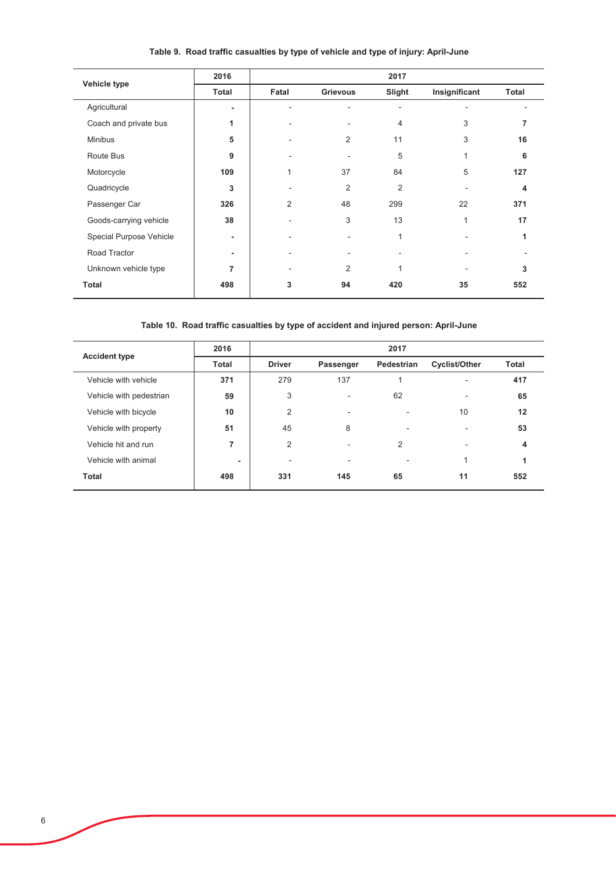| Vehicle type            | 2016  |                |                | 2017           |               |       |
|-------------------------|-------|----------------|----------------|----------------|---------------|-------|
|                         | Total | Fatal          | Grievous       | Slight         | Insignificant | Total |
| Agricultural            |       |                |                |                |               |       |
| Coach and private bus   | 1     |                |                | 4              | 3             |       |
| <b>Minibus</b>          | 5     |                | 2              | 11             | 3             | 16    |
| Route Bus               | 9     |                |                | 5              | 1             | 6     |
| Motorcycle              | 109   |                | 37             | 84             | 5             | 127   |
| Quadricycle             | 3     |                | $\overline{2}$ | $\overline{2}$ |               | 4     |
| Passenger Car           | 326   | $\overline{2}$ | 48             | 299            | 22            | 371   |
| Goods-carrying vehicle  | 38    |                | 3              | 13             | $\mathbf{1}$  | 17    |
| Special Purpose Vehicle | ۰     |                |                |                |               |       |
| Road Tractor            | ۰     |                |                |                |               |       |
| Unknown vehicle type    | 7     |                | 2              |                |               | 3     |
| Total                   | 498   | 3              | 94             | 420            | 35            | 552   |

# Table 9. Road traffic casualties by type of vehicle and type of injury: April-June

Table 10. Road traffic casualties by type of accident and injured person: April-June

| <b>Accident type</b>    | 2016         |               |           | 2017           |                          |              |
|-------------------------|--------------|---------------|-----------|----------------|--------------------------|--------------|
|                         | <b>Total</b> | <b>Driver</b> | Passenger | Pedestrian     | <b>Cyclist/Other</b>     | <b>Total</b> |
| Vehicle with vehicle    | 371          | 279           | 137       |                | $\overline{\phantom{a}}$ | 417          |
| Vehicle with pedestrian | 59           | 3             |           | 62             | $\overline{\phantom{a}}$ | 65           |
| Vehicle with bicycle    | 10           | 2             |           |                | 10                       | 12           |
| Vehicle with property   | 51           | 45            | 8         |                | ٠                        | 53           |
| Vehicle hit and run     | 7            | 2             |           | $\overline{2}$ | ٠                        | 4            |
| Vehicle with animal     | ٠            | ٠             |           |                | 1                        | 1            |
| Total                   | 498          | 331           | 145       | 65             | 11                       | 552          |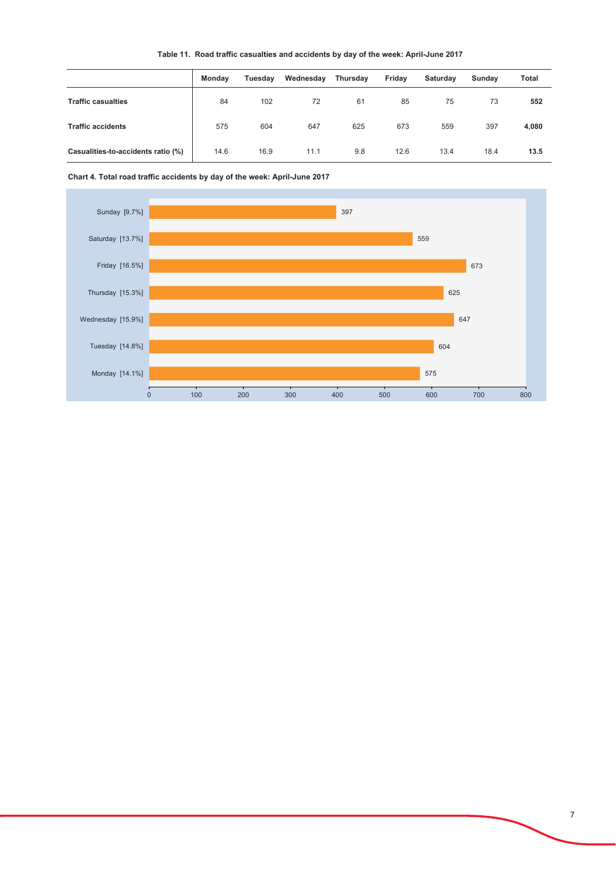|  | Table 11. Road traffic casualties and accidents by day of the week: April-June 2017 |  |
|--|-------------------------------------------------------------------------------------|--|
|--|-------------------------------------------------------------------------------------|--|

|                                    | Monday | Tuesday | Wednesday | Thursday | Friday | Saturday | Sundav | Total |
|------------------------------------|--------|---------|-----------|----------|--------|----------|--------|-------|
| <b>Traffic casualties</b>          | 84     | 102     | 72        | 61       | 85     | 75       | 73     | 552   |
| <b>Traffic accidents</b>           | 575    | 604     | 647       | 625      | 673    | 559      | 397    | 4,080 |
| Casualities-to-accidents ratio (%) | 14.6   | 16.9    | 11.1      | 9.8      | 12.6   | 13.4     | 18.4   | 13.5  |

Chart 4. Total road traffic accidents by day of the week: April-June 2017

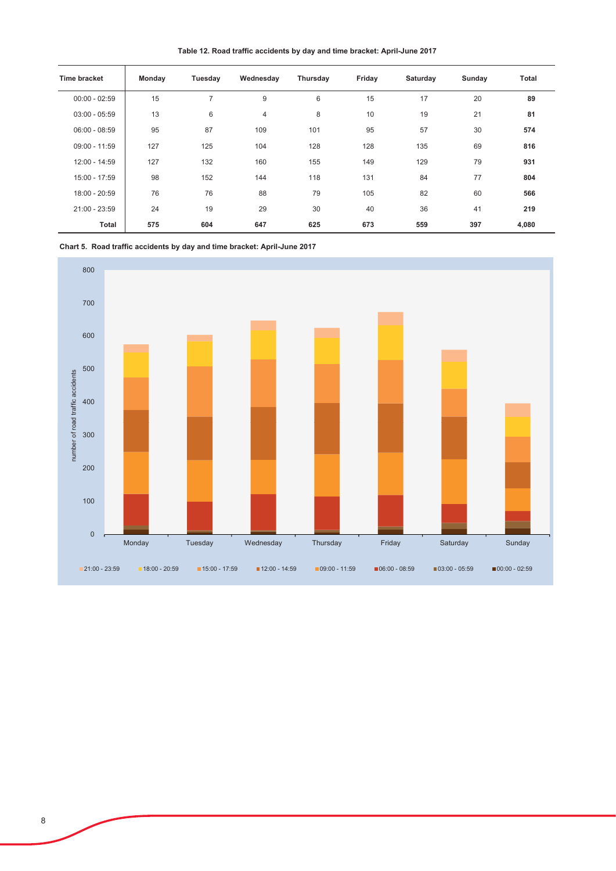Table 12. Road traffic accidents by day and time bracket: April-June 2017

| <b>Time bracket</b> | Monday | Tuesday | Wednesday | Thursday | Friday | Saturday | Sunday | Total |
|---------------------|--------|---------|-----------|----------|--------|----------|--------|-------|
| $00:00 - 02:59$     | 15     | 7       | 9         | 6        | 15     | 17       | 20     | 89    |
| $03:00 - 05:59$     | 13     | 6       | 4         | 8        | 10     | 19       | 21     | 81    |
| $06:00 - 08:59$     | 95     | 87      | 109       | 101      | 95     | 57       | 30     | 574   |
| $09:00 - 11:59$     | 127    | 125     | 104       | 128      | 128    | 135      | 69     | 816   |
| 12:00 - 14:59       | 127    | 132     | 160       | 155      | 149    | 129      | 79     | 931   |
| 15:00 - 17:59       | 98     | 152     | 144       | 118      | 131    | 84       | 77     | 804   |
| 18:00 - 20:59       | 76     | 76      | 88        | 79       | 105    | 82       | 60     | 566   |
| 21:00 - 23:59       | 24     | 19      | 29        | 30       | 40     | 36       | 41     | 219   |
| Total               | 575    | 604     | 647       | 625      | 673    | 559      | 397    | 4,080 |

Chart 5. Road traffic accidents by day and time bracket: April-June 2017

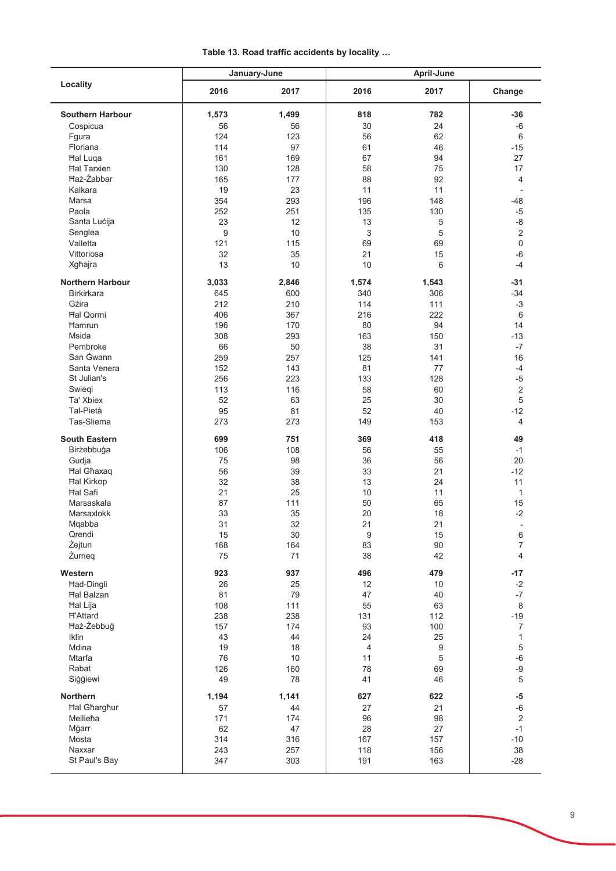Table 13. Road traffic accidents by locality ...

|                            |           | January-June | April-June |          |                          |  |
|----------------------------|-----------|--------------|------------|----------|--------------------------|--|
| Locality                   | 2016      | 2017         | 2016       | 2017     | Change                   |  |
| <b>Southern Harbour</b>    | 1,573     | 1,499        | 818        | 782      | $-36$                    |  |
| Cospicua                   | 56        | 56           | 30         | 24       | $-6$                     |  |
| Fgura                      | 124       | 123          | 56         | 62       | 6                        |  |
| Floriana                   | 114       | 97           | 61         | 46       | $-15$                    |  |
| <b>Hal Luga</b>            | 161       | 169          | 67         | 94       | 27                       |  |
| <b>Hal Tarxien</b>         | 130       | 128          | 58         | 75       | 17                       |  |
| <b>Ħaż-Żabbar</b>          | 165       | 177          | 88         | 92       | $\overline{4}$           |  |
| Kalkara                    | 19        | 23           | 11         | 11       | $\overline{\phantom{a}}$ |  |
| Marsa                      | 354       | 293          | 196        | 148      | $-48$                    |  |
| Paola                      | 252       | 251          | 135        | 130      | $-5$                     |  |
| Santa Lucija               | 23        | 12           | 13         | 5        | $-8$                     |  |
| Senglea                    | 9         | 10           | 3          | 5        | $\mathbf 2$              |  |
| Valletta                   | 121       | 115          | 69         | 69       | $\mathbf 0$              |  |
| Vittoriosa                 | 32        | 35           | 21         | 15       | $-6$                     |  |
| Xgħajra                    | 13        | 10           | 10         | 6        | $-4$                     |  |
| <b>Northern Harbour</b>    | 3,033     | 2,846        | 1,574      | 1,543    | $-31$                    |  |
| <b>Birkirkara</b>          | 645       | 600          | 340        | 306      | $-34$                    |  |
| Gżira                      | 212       | 210          | 114        | 111      | $-3$                     |  |
| <b>Hal Qormi</b>           | 406       | 367          | 216        | 222      | 6                        |  |
| Hamrun                     | 196       | 170          | 80         | 94       | 14                       |  |
| Msida                      | 308       | 293          | 163        | 150      | $-13$                    |  |
| Pembroke                   | 66        | 50           | 38         | 31       | $-7$                     |  |
| San Gwann                  | 259       | 257          | 125        | 141      | 16                       |  |
| Santa Venera               | 152       | 143          | 81         | 77       | $-4$                     |  |
| St Julian's                | 256       | 223          | 133        | 128      | $-5$                     |  |
| Swiegi                     | 113       | 116          | 58         | 60       | $\sqrt{2}$               |  |
| Ta' Xbiex                  | 52        | 63           | 25         | 30       | 5                        |  |
| Tal-Pietà                  | 95        | 81           | 52         | 40       | $-12$                    |  |
| Tas-Sliema                 | 273       | 273          | 149        | 153      | $\overline{4}$           |  |
| <b>South Eastern</b>       | 699       | 751          | 369        |          | 49                       |  |
|                            |           |              |            | 418      |                          |  |
| Birżebbuġa                 | 106<br>75 | 108<br>98    | 56<br>36   | 55<br>56 | $-1$<br>20               |  |
| Gudja<br><b>Hal Ghaxaq</b> | 56        | 39           | 33         | 21       | $-12$                    |  |
| <b>Hal Kirkop</b>          | 32        | 38           | 13         | 24       | 11                       |  |
| <b>Hal Safi</b>            | 21        | 25           | 10         | 11       | $\mathbf{1}$             |  |
| Marsaskala                 | 87        | 111          | 50         | 65       | 15                       |  |
| Marsaxlokk                 | 33        | 35           | 20         | 18       | $-2$                     |  |
| Mqabba                     | 31        | 32           | 21         | 21       |                          |  |
| Qrendi                     | 15        | 30           | 9          | 15       | 6                        |  |
| Żejtun                     | 168       | 164          | 83         | $90\,$   | $\overline{7}$           |  |
| Żurrieg                    | 75        | 71           | 38         | 42       | 4                        |  |
| Western                    | 923       | 937          | 496        | 479      | $-17$                    |  |
| Had-Dingli                 | 26        |              | 12         |          | $-2$                     |  |
| <b>Hal Balzan</b>          | 81        | 25<br>79     | 47         | 10<br>40 | $-7$                     |  |
| Hal Lija                   | 108       | 111          | 55         | 63       | 8                        |  |
| <b>H'Attard</b>            | 238       | 238          | 131        | 112      | $-19$                    |  |
| Haż-Żebbuġ                 | 157       | 174          | 93         | 100      | $\boldsymbol{7}$         |  |
| Iklin                      | 43        | 44           | 24         | 25       | $\mathbf{1}$             |  |
| Mdina                      | 19        | 18           | 4          | 9        | $\,$ 5 $\,$              |  |
| Mtarfa                     | 76        | $10$         | 11         | 5        | $-6$                     |  |
| Rabat                      | 126       | 160          | 78         | 69       | $-9$                     |  |
| Siģģiewi                   | 49        | 78           | 41         | 46       | $\sqrt{5}$               |  |
| Northern                   | 1,194     | 1,141        | 627        | 622      | $-5$                     |  |
| <b>Hal Gharghur</b>        | 57        | 44           | 27         | 21       | $-6$                     |  |
| Mellieħa                   | 171       | 174          | 96         | 98       | $\sqrt{2}$               |  |
| Mġarr                      | 62        | 47           | 28         | 27       | $-1$                     |  |
| Mosta                      | 314       | 316          | 167        | 157      | $-10$                    |  |
|                            |           |              |            | 156      | 38                       |  |
| Naxxar                     | 243       | 257          | 118        |          |                          |  |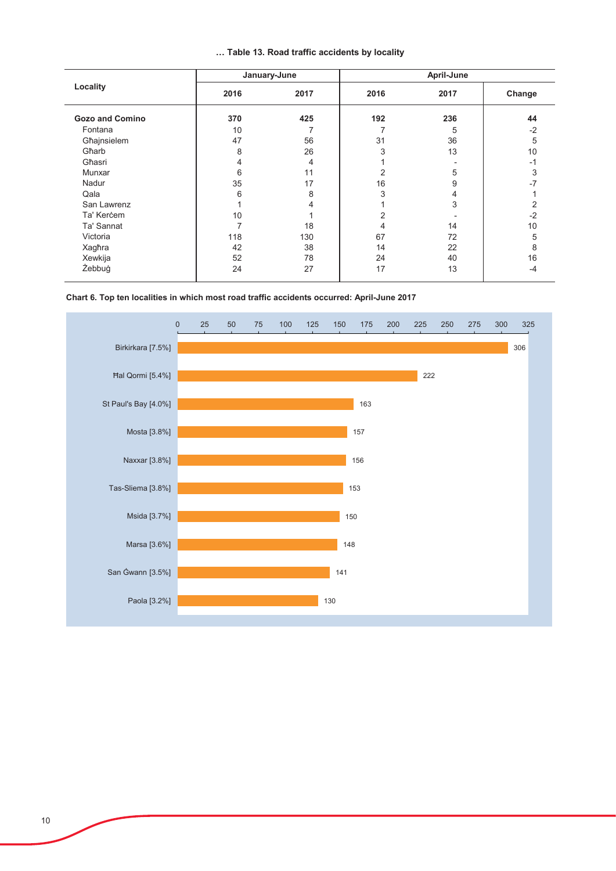|  |  |  |  |  | Table 13. Road traffic accidents by locality |  |  |
|--|--|--|--|--|----------------------------------------------|--|--|
|--|--|--|--|--|----------------------------------------------|--|--|

| Locality               |      | January-June | April-June     |      |        |  |
|------------------------|------|--------------|----------------|------|--------|--|
|                        | 2016 | 2017         | 2016           | 2017 | Change |  |
| <b>Gozo and Comino</b> | 370  | 425          | 192            | 236  | 44     |  |
| Fontana                | 10   |              |                | 5    | $-2$   |  |
| Għajnsielem            | 47   | 56           | 31             | 36   | 5      |  |
| Gharb                  | 8    | 26           | 3              | 13   | 10     |  |
| Għasri                 | 4    | 4            |                |      | -1     |  |
| Munxar                 | 6    | 11           | $\overline{2}$ | 5    | 3      |  |
| Nadur                  | 35   | 17           | 16             | 9    | -7     |  |
| Qala                   | 6    | 8            | 3              | 4    |        |  |
| San Lawrenz            |      |              |                | 3    | 2      |  |
| Ta' Kercem             | 10   |              | 2              |      | $-2$   |  |
| Ta' Sannat             |      | 18           | 4              | 14   | 10     |  |
| Victoria               | 118  | 130          | 67             | 72   | 5      |  |
| Xagħra                 | 42   | 38           | 14             | 22   | 8      |  |
| Xewkija                | 52   | 78           | 24             | 40   | 16     |  |
| Żebbuġ                 | 24   | 27           | 17             | 13   | -4     |  |